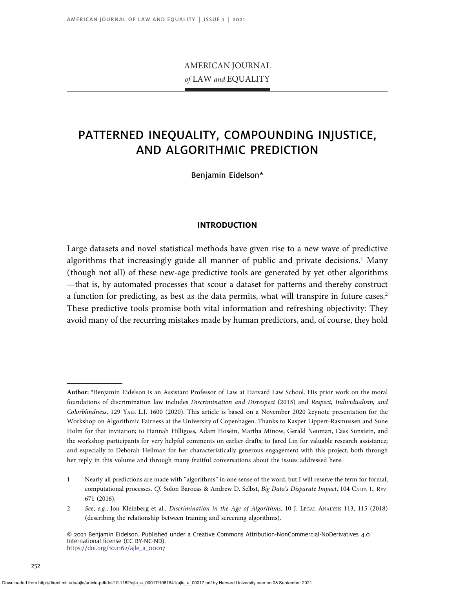# AMERICAN JOURNAL of LAW and EQUALITY

# PATTERNED INEQUALITY, COMPOUNDING INJUSTICE, AND ALGORITHMIC PREDICTION

Benjamin Eidelson\*

# INTRODUCTION

Large datasets and novel statistical methods have given rise to a new wave of predictive algorithms that increasingly guide all manner of public and private decisions.<sup>1</sup> Many (though not all) of these new-age predictive tools are generated by yet other algorithms —that is, by automated processes that scour a dataset for patterns and thereby construct a function for predicting, as best as the data permits, what will transpire in future cases.<sup>2</sup> These predictive tools promise both vital information and refreshing objectivity: They avoid many of the recurring mistakes made by human predictors, and, of course, they hold

Author: \*Benjamin Eidelson is an Assistant Professor of Law at Harvard Law School. His prior work on the moral foundations of discrimination law includes Discrimination and Disrespect (2015) and Respect, Individualism, and Colorblindness, 129 YALE L.J. 1600 (2020). This article is based on a November 2020 keynote presentation for the Workshop on Algorithmic Fairness at the University of Copenhagen. Thanks to Kasper Lippert-Rasmussen and Sune Holm for that invitation; to Hannah Hilligoss, Adam Hosein, Martha Minow, Gerald Neuman, Cass Sunstein, and the workshop participants for very helpful comments on earlier drafts; to Jared Lin for valuable research assistance; and especially to Deborah Hellman for her characteristically generous engagement with this project, both through her reply in this volume and through many fruitful conversations about the issues addressed here.

<sup>1</sup> Nearly all predictions are made with "algorithms" in one sense of the word, but I will reserve the term for formal, computational processes. Cf. Solon Barocas & Andrew D. Selbst, Big Data's Disparate Impact, 104 CALIF. L. REV. 671 (2016).

<sup>2</sup> See, e.g., Jon Kleinberg et al., Discrimination in the Age of Algorithms, 10 J. LEGAL ANALYSIS 113, 115 (2018) (describing the relationship between training and screening algorithms).

<sup>© 2021</sup> Benjamin Eidelson. Published under a Creative Commons Attribution-NonCommercial-NoDerivatives 4.0 International license (CC BY-NC-ND). [https://doi.org/10.1162/ajle\\_a\\_00017](https://doi.org/10.1162/ajle_a_00017)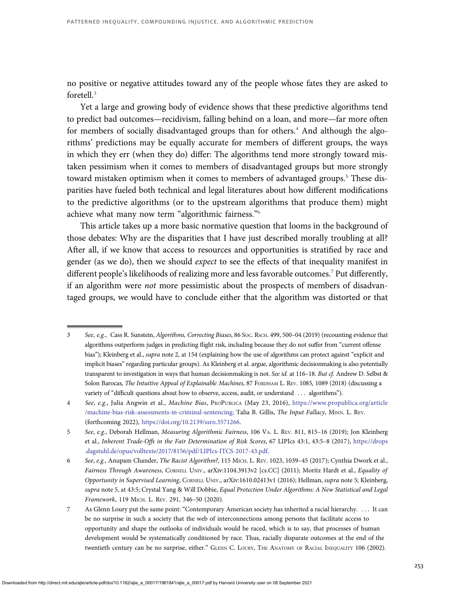no positive or negative attitudes toward any of the people whose fates they are asked to foretell.<sup>3</sup>

Yet a large and growing body of evidence shows that these predictive algorithms tend to predict bad outcomes—recidivism, falling behind on a loan, and more—far more often for members of socially disadvantaged groups than for others.<sup>4</sup> And although the algorithms' predictions may be equally accurate for members of different groups, the ways in which they err (when they do) differ: The algorithms tend more strongly toward mistaken pessimism when it comes to members of disadvantaged groups but more strongly toward mistaken optimism when it comes to members of advantaged groups.<sup>5</sup> These disparities have fueled both technical and legal literatures about how different modifications to the predictive algorithms (or to the upstream algorithms that produce them) might achieve what many now term "algorithmic fairness."<sup>6</sup>

This article takes up a more basic normative question that looms in the background of those debates: Why are the disparities that I have just described morally troubling at all? After all, if we know that access to resources and opportunities is stratified by race and gender (as we do), then we should expect to see the effects of that inequality manifest in different people's likelihoods of realizing more and less favorable outcomes.<sup>7</sup> Put differently, if an algorithm were not more pessimistic about the prospects of members of disadvantaged groups, we would have to conclude either that the algorithm was distorted or that

<sup>3</sup> See, e.g., Cass R. Sunstein, Algorithms, Correcting Biases, 86 SOC. RSCH. 499, 500–04 (2019) (recounting evidence that algorithms outperform judges in predicting flight risk, including because they do not suffer from "current offense bias"); Kleinberg et al., *supra* note 2, at 154 (explaining how the use of algorithms can protect against "explicit and implicit biases" regarding particular groups). As Kleinberg et al. argue, algorithmic decisionmaking is also potentially transparent to investigation in ways that human decisionmaking is not. See id. at 116-18. But cf. Andrew D. Selbst & Solon Barocas, The Intuitive Appeal of Explainable Machines, 87 FORDHAM L. REV. 1085, 1089 (2018) (discussing a variety of "difficult questions about how to observe, access, audit, or understand ... algorithms").

<sup>4</sup> See, e.g., Julia Angwin et al., Machine Bias, PROPUBLICA (May 23, 2016), [https://www.propublica.org/article](https://www.propublica.org/article/machine-bias-risk-assessments-in-criminal-sentencing;) [/machine-bias-risk-assessments-in-criminal-sentencing;](https://www.propublica.org/article/machine-bias-risk-assessments-in-criminal-sentencing;) Talia B. Gillis, The Input Fallacy, MINN. L. REV. (forthcoming 2022), [https://doi.org/10.2139/ssrn.3571266.](http://dx.doi.org/10/2139/ssrn.3571266)

<sup>5</sup> See, e.g., Deborah Hellman, Measuring Algorithmic Fairness, 106 VA. L. REV. 811, 815-16 (2019); Jon Kleinberg et al., Inherent Trade-Offs in the Fair Determination of Risk Scores, 67 LIPIcs 43:1, 43:5–8 (2017), [https://drops](https://drops.dagstuhl.de/opus/volltexte/2017/8156/pdf/LIPIcs-ITCS-2017-43.pdf) [.dagstuhl.de/opus/volltexte/2017/8156/pdf/LIPIcs-ITCS-2017-43.pdf](https://drops.dagstuhl.de/opus/volltexte/2017/8156/pdf/LIPIcs-ITCS-2017-43.pdf).

<sup>6</sup> See, e.g., Anupam Chander, The Racist Algorithm?, 115 MICH. L. REV. 1023, 1039–45 (2017); Cynthia Dwork et al., Fairness Through Awareness, CORNELL UNIV., arXiv:1104.3913v2 [cs.CC] (2011); Moritz Hardt et al., Equality of Opportunity in Supervised Learning, CORNELL UNIV., arXiv:1610.02413v1 (2016); Hellman, supra note 5; Kleinberg, supra note 5, at 43:5; Crystal Yang & Will Dobbie, Equal Protection Under Algorithms: A New Statistical and Legal Framework, 119 MICH. L. REV. 291, 346–50 (2020).

<sup>7</sup> As Glenn Loury put the same point: "Contemporary American society has inherited a racial hierarchy. . . . It can be no surprise in such a society that the web of interconnections among persons that facilitate access to opportunity and shape the outlooks of individuals would be raced, which is to say, that processes of human development would be systematically conditioned by race. Thus, racially disparate outcomes at the end of the twentieth century can be no surprise, either." GLENN C. LOURY, THE ANATOMY OF RACIAL INEQUALITY 106 (2002).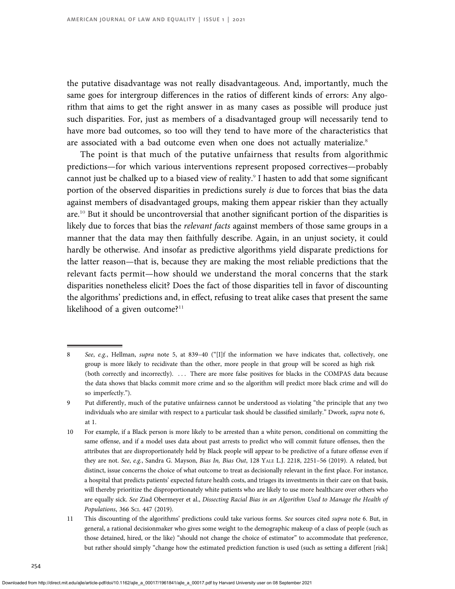the putative disadvantage was not really disadvantageous. And, importantly, much the same goes for intergroup differences in the ratios of different kinds of errors: Any algorithm that aims to get the right answer in as many cases as possible will produce just such disparities. For, just as members of a disadvantaged group will necessarily tend to have more bad outcomes, so too will they tend to have more of the characteristics that are associated with a bad outcome even when one does not actually materialize.<sup>8</sup>

The point is that much of the putative unfairness that results from algorithmic predictions—for which various interventions represent proposed correctives—probably cannot just be chalked up to a biased view of reality.<sup>9</sup> I hasten to add that some significant portion of the observed disparities in predictions surely is due to forces that bias the data against members of disadvantaged groups, making them appear riskier than they actually are.<sup>10</sup> But it should be uncontroversial that another significant portion of the disparities is likely due to forces that bias the *relevant facts* against members of those same groups in a manner that the data may then faithfully describe. Again, in an unjust society, it could hardly be otherwise. And insofar as predictive algorithms yield disparate predictions for the latter reason—that is, because they are making the most reliable predictions that the relevant facts permit—how should we understand the moral concerns that the stark disparities nonetheless elicit? Does the fact of those disparities tell in favor of discounting the algorithms' predictions and, in effect, refusing to treat alike cases that present the same likelihood of a given outcome? $11$ 

<sup>8</sup> See, e.g., Hellman, supra note 5, at 839-40 ("[I]f the information we have indicates that, collectively, one group is more likely to recidivate than the other, more people in that group will be scored as high risk (both correctly and incorrectly). . . . There are more false positives for blacks in the COMPAS data because the data shows that blacks commit more crime and so the algorithm will predict more black crime and will do so imperfectly.").

<sup>9</sup> Put differently, much of the putative unfairness cannot be understood as violating "the principle that any two individuals who are similar with respect to a particular task should be classified similarly." Dwork, supra note 6, at 1.

<sup>10</sup> For example, if a Black person is more likely to be arrested than a white person, conditional on committing the same offense, and if a model uses data about past arrests to predict who will commit future offenses, then the attributes that are disproportionately held by Black people will appear to be predictive of a future offense even if they are not. See, e.g., Sandra G. Mayson, Bias In, Bias Out, 128 YALE L.J. 2218, 2251-56 (2019). A related, but distinct, issue concerns the choice of what outcome to treat as decisionally relevant in the first place. For instance, a hospital that predicts patients' expected future health costs, and triages its investments in their care on that basis, will thereby prioritize the disproportionately white patients who are likely to use more healthcare over others who are equally sick. See Ziad Obermeyer et al., Dissecting Racial Bias in an Algorithm Used to Manage the Health of Populations, 366 SCI. 447 (2019).

<sup>11</sup> This discounting of the algorithms' predictions could take various forms. See sources cited supra note 6. But, in general, a rational decisionmaker who gives some weight to the demographic makeup of a class of people (such as those detained, hired, or the like) "should not change the choice of estimator" to accommodate that preference, but rather should simply "change how the estimated prediction function is used (such as setting a different [risk]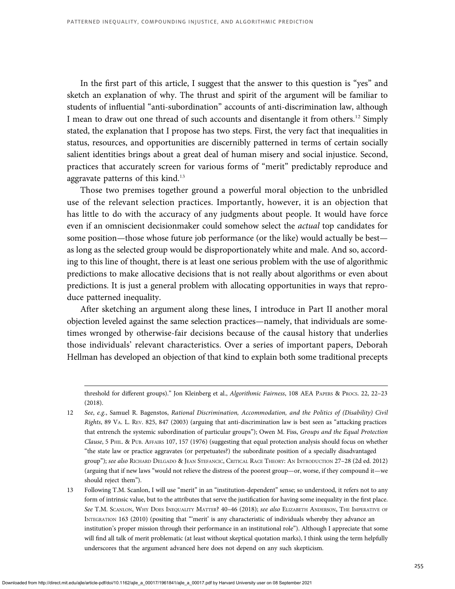In the first part of this article, I suggest that the answer to this question is "yes" and sketch an explanation of why. The thrust and spirit of the argument will be familiar to students of influential "anti-subordination" accounts of anti-discrimination law, although I mean to draw out one thread of such accounts and disentangle it from others.<sup>12</sup> Simply stated, the explanation that I propose has two steps. First, the very fact that inequalities in status, resources, and opportunities are discernibly patterned in terms of certain socially salient identities brings about a great deal of human misery and social injustice. Second, practices that accurately screen for various forms of "merit" predictably reproduce and aggravate patterns of this kind.<sup>13</sup>

Those two premises together ground a powerful moral objection to the unbridled use of the relevant selection practices. Importantly, however, it is an objection that has little to do with the accuracy of any judgments about people. It would have force even if an omniscient decisionmaker could somehow select the actual top candidates for some position—those whose future job performance (or the like) would actually be best as long as the selected group would be disproportionately white and male. And so, according to this line of thought, there is at least one serious problem with the use of algorithmic predictions to make allocative decisions that is not really about algorithms or even about predictions. It is just a general problem with allocating opportunities in ways that reproduce patterned inequality.

After sketching an argument along these lines, I introduce in Part II another moral objection leveled against the same selection practices—namely, that individuals are sometimes wronged by otherwise-fair decisions because of the causal history that underlies those individuals' relevant characteristics. Over a series of important papers, Deborah Hellman has developed an objection of that kind to explain both some traditional precepts

threshold for different groups)." Jon Kleinberg et al., Algorithmic Fairness, 108 AEA PAPERS & PROCS. 22, 22–23 (2018).

<sup>12</sup> See, e.g., Samuel R. Bagenstos, Rational Discrimination, Accommodation, and the Politics of (Disability) Civil Rights, 89 VA. L. REV. 825, 847 (2003) (arguing that anti-discrimination law is best seen as "attacking practices that entrench the systemic subordination of particular groups"); Owen M. Fiss, Groups and the Equal Protection Clause,5PHIL.&PUB. AFFAIRS 107, 157 (1976) (suggesting that equal protection analysis should focus on whether "the state law or practice aggravates (or perpetuates?) the subordinate position of a specially disadvantaged group"); see also RICHARD DELGADO & JEAN STEFANCIC, CRITICAL RACE THEORY: AN INTRODUCTION 27–28 (2d ed. 2012) (arguing that if new laws "would not relieve the distress of the poorest group—or, worse, if they compound it—we should reject them").

<sup>13</sup> Following T.M. Scanlon, I will use "merit" in an "institution-dependent" sense; so understood, it refers not to any form of intrinsic value, but to the attributes that serve the justification for having some inequality in the first place. See T.M. SCANLON, WHY DOES INEQUALITY MATTER? 40-46 (2018); see also ELIZABETH ANDERSON, THE IMPERATIVE OF INTEGRATION 163 (2010) (positing that "'merit' is any characteristic of individuals whereby they advance an institution's proper mission through their performance in an institutional role"). Although I appreciate that some will find all talk of merit problematic (at least without skeptical quotation marks), I think using the term helpfully underscores that the argument advanced here does not depend on any such skepticism.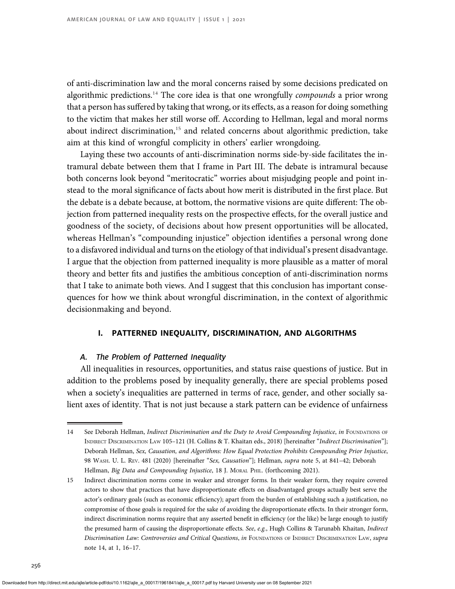of anti-discrimination law and the moral concerns raised by some decisions predicated on algorithmic predictions.<sup>14</sup> The core idea is that one wrongfully *compounds* a prior wrong that a person has suffered by taking that wrong, or its effects, as a reason for doing something to the victim that makes her still worse off. According to Hellman, legal and moral norms about indirect discrimination,<sup>15</sup> and related concerns about algorithmic prediction, take aim at this kind of wrongful complicity in others' earlier wrongdoing.

Laying these two accounts of anti-discrimination norms side-by-side facilitates the intramural debate between them that I frame in Part III. The debate is intramural because both concerns look beyond "meritocratic" worries about misjudging people and point instead to the moral significance of facts about how merit is distributed in the first place. But the debate is a debate because, at bottom, the normative visions are quite different: The objection from patterned inequality rests on the prospective effects, for the overall justice and goodness of the society, of decisions about how present opportunities will be allocated, whereas Hellman's "compounding injustice" objection identifies a personal wrong done to a disfavored individual and turns on the etiology of that individual's present disadvantage. I argue that the objection from patterned inequality is more plausible as a matter of moral theory and better fits and justifies the ambitious conception of anti-discrimination norms that I take to animate both views. And I suggest that this conclusion has important consequences for how we think about wrongful discrimination, in the context of algorithmic decisionmaking and beyond.

# I. PATTERNED INEQUALITY, DISCRIMINATION, AND ALGORITHMS

## A. The Problem of Patterned Inequality

All inequalities in resources, opportunities, and status raise questions of justice. But in addition to the problems posed by inequality generally, there are special problems posed when a society's inequalities are patterned in terms of race, gender, and other socially salient axes of identity. That is not just because a stark pattern can be evidence of unfairness

<sup>14</sup> See Deborah Hellman, Indirect Discrimination and the Duty to Avoid Compounding Injustice, in FOUNDATIONS OF INDIRECT DISCRIMINATION LAW 105–121 (H. Collins & T. Khaitan eds., 2018) [hereinafter "Indirect Discrimination"]; Deborah Hellman, Sex, Causation, and Algorithms: How Equal Protection Prohibits Compounding Prior Injustice, 98 WASH. U. L. REV. 481 (2020) [hereinafter "Sex, Causation"]; Hellman, supra note 5, at 841–42; Deborah Hellman, Big Data and Compounding Injustice, 18 J. MORAL PHIL. (forthcoming 2021).

<sup>15</sup> Indirect discrimination norms come in weaker and stronger forms. In their weaker form, they require covered actors to show that practices that have disproportionate effects on disadvantaged groups actually best serve the actor's ordinary goals (such as economic efficiency); apart from the burden of establishing such a justification, no compromise of those goals is required for the sake of avoiding the disproportionate effects. In their stronger form, indirect discrimination norms require that any asserted benefit in efficiency (or the like) be large enough to justify the presumed harm of causing the disproportionate effects. See, e.g., Hugh Collins & Tarunabh Khaitan, Indirect Discrimination Law: Controversies and Critical Questions, in FOUNDATIONS OF INDIRECT DISCRIMINATION LAW, supra note 14, at 1, 16–17.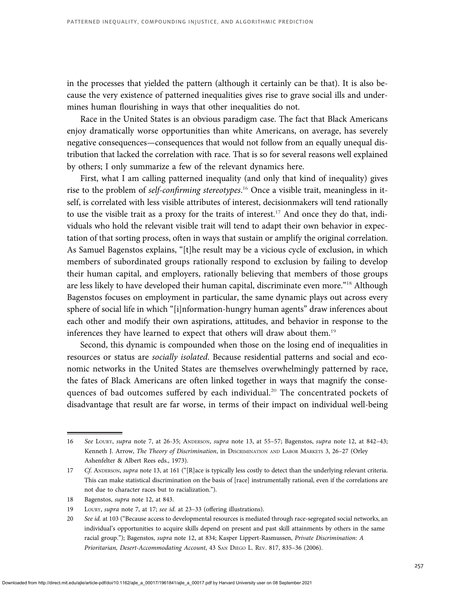in the processes that yielded the pattern (although it certainly can be that). It is also because the very existence of patterned inequalities gives rise to grave social ills and undermines human flourishing in ways that other inequalities do not.

Race in the United States is an obvious paradigm case. The fact that Black Americans enjoy dramatically worse opportunities than white Americans, on average, has severely negative consequences—consequences that would not follow from an equally unequal distribution that lacked the correlation with race. That is so for several reasons well explained by others; I only summarize a few of the relevant dynamics here.

First, what I am calling patterned inequality (and only that kind of inequality) gives rise to the problem of self-confirming stereotypes.<sup>16</sup> Once a visible trait, meaningless in itself, is correlated with less visible attributes of interest, decisionmakers will tend rationally to use the visible trait as a proxy for the traits of interest.<sup>17</sup> And once they do that, individuals who hold the relevant visible trait will tend to adapt their own behavior in expectation of that sorting process, often in ways that sustain or amplify the original correlation. As Samuel Bagenstos explains, "[t]he result may be a vicious cycle of exclusion, in which members of subordinated groups rationally respond to exclusion by failing to develop their human capital, and employers, rationally believing that members of those groups are less likely to have developed their human capital, discriminate even more."<sup>18</sup> Although Bagenstos focuses on employment in particular, the same dynamic plays out across every sphere of social life in which "[i]nformation-hungry human agents" draw inferences about each other and modify their own aspirations, attitudes, and behavior in response to the inferences they have learned to expect that others will draw about them.<sup>19</sup>

Second, this dynamic is compounded when those on the losing end of inequalities in resources or status are socially isolated. Because residential patterns and social and economic networks in the United States are themselves overwhelmingly patterned by race, the fates of Black Americans are often linked together in ways that magnify the consequences of bad outcomes suffered by each individual.<sup>20</sup> The concentrated pockets of disadvantage that result are far worse, in terms of their impact on individual well-being

<sup>16</sup> See LOURY, supra note 7, at 26-35; ANDERSON, supra note 13, at 55–57; Bagenstos, supra note 12, at 842–43; Kenneth J. Arrow, The Theory of Discrimination, in DISCRIMINATION AND LABOR MARKETS 3, 26-27 (Orley Ashenfelter & Albert Rees eds., 1973).

<sup>17</sup> Cf. ANDERSON, supra note 13, at 161 ("[R]ace is typically less costly to detect than the underlying relevant criteria. This can make statistical discrimination on the basis of [race] instrumentally rational, even if the correlations are not due to character races but to racialization.").

<sup>18</sup> Bagenstos, *supra* note 12, at 843.

<sup>19</sup> LOURY, supra note 7, at 17; see id. at 23–33 (offering illustrations).

<sup>20</sup> See id. at 103 ("Because access to developmental resources is mediated through race-segregated social networks, an individual's opportunities to acquire skills depend on present and past skill attainments by others in the same racial group."); Bagenstos, supra note 12, at 834; Kasper Lippert-Rasmussen, Private Discrimination: A Prioritarian, Desert-Accommodating Account, 43 SAN DIEGO L. REV. 817, 835–36 (2006).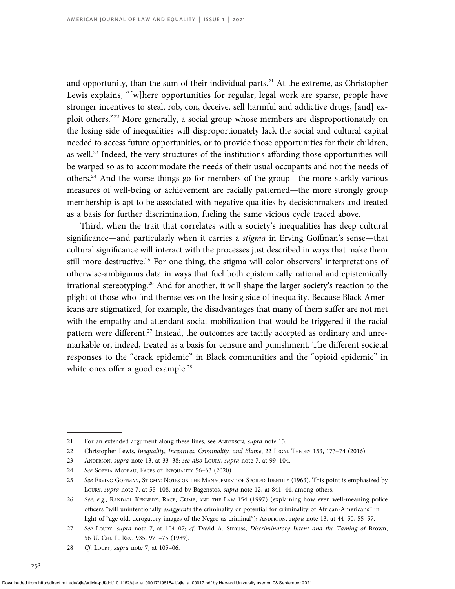and opportunity, than the sum of their individual parts.<sup>21</sup> At the extreme, as Christopher Lewis explains, "[w]here opportunities for regular, legal work are sparse, people have stronger incentives to steal, rob, con, deceive, sell harmful and addictive drugs, [and] exploit others."<sup>22</sup> More generally, a social group whose members are disproportionately on the losing side of inequalities will disproportionately lack the social and cultural capital needed to access future opportunities, or to provide those opportunities for their children, as well.<sup>23</sup> Indeed, the very structures of the institutions affording those opportunities will be warped so as to accommodate the needs of their usual occupants and not the needs of others.<sup>24</sup> And the worse things go for members of the group—the more starkly various measures of well-being or achievement are racially patterned—the more strongly group membership is apt to be associated with negative qualities by decisionmakers and treated as a basis for further discrimination, fueling the same vicious cycle traced above.

Third, when the trait that correlates with a society's inequalities has deep cultural significance—and particularly when it carries a *stigma* in Erving Goffman's sense—that cultural significance will interact with the processes just described in ways that make them still more destructive.<sup>25</sup> For one thing, the stigma will color observers' interpretations of otherwise-ambiguous data in ways that fuel both epistemically rational and epistemically irrational stereotyping.<sup>26</sup> And for another, it will shape the larger society's reaction to the plight of those who find themselves on the losing side of inequality. Because Black Americans are stigmatized, for example, the disadvantages that many of them suffer are not met with the empathy and attendant social mobilization that would be triggered if the racial pattern were different.<sup>27</sup> Instead, the outcomes are tacitly accepted as ordinary and unremarkable or, indeed, treated as a basis for censure and punishment. The different societal responses to the "crack epidemic" in Black communities and the "opioid epidemic" in white ones offer a good example.<sup>28</sup>

<sup>21</sup> For an extended argument along these lines, see ANDERSON, *supra* note 13.

<sup>22</sup> Christopher Lewis, Inequality, Incentives, Criminality, and Blame, 22 LEGAL THEORY 153, 173-74 (2016).

<sup>23</sup> ANDERSON, supra note 13, at 33-38; see also LOURY, supra note 7, at 99-104.

<sup>24</sup> See SOPHIA MOREAU, FACES OF INEQUALITY 56–63 (2020).

<sup>25</sup> See ERVING GOFFMAN, STIGMA: NOTES ON THE MANAGEMENT OF SPOILED IDENTITY (1963). This point is emphasized by LOURY, supra note 7, at 55–108, and by Bagenstos, supra note 12, at 841–44, among others.

<sup>26</sup> See, e.g., RANDALL KENNEDY, RACE, CRIME, AND THE LAW 154 (1997) (explaining how even well-meaning police officers "will unintentionally exaggerate the criminality or potential for criminality of African-Americans" in light of "age-old, derogatory images of the Negro as criminal"); ANDERSON, supra note 13, at 44–50, 55–57.

<sup>27</sup> See LOURY, supra note 7, at 104-07; cf. David A. Strauss, Discriminatory Intent and the Taming of Brown, 56 U. CHI. L. REV. 935, 971–75 (1989).

<sup>28</sup> Cf. Loury, supra note 7, at 105-06.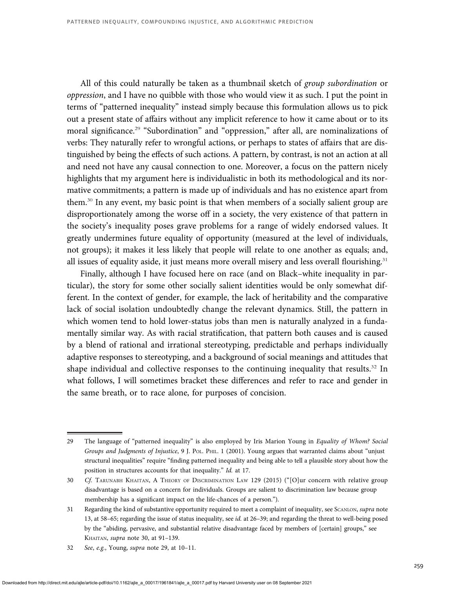All of this could naturally be taken as a thumbnail sketch of group subordination or oppression, and I have no quibble with those who would view it as such. I put the point in terms of "patterned inequality" instead simply because this formulation allows us to pick out a present state of affairs without any implicit reference to how it came about or to its moral significance.<sup>29</sup> "Subordination" and "oppression," after all, are nominalizations of verbs: They naturally refer to wrongful actions, or perhaps to states of affairs that are distinguished by being the effects of such actions. A pattern, by contrast, is not an action at all and need not have any causal connection to one. Moreover, a focus on the pattern nicely highlights that my argument here is individualistic in both its methodological and its normative commitments; a pattern is made up of individuals and has no existence apart from them.<sup>30</sup> In any event, my basic point is that when members of a socially salient group are disproportionately among the worse off in a society, the very existence of that pattern in the society's inequality poses grave problems for a range of widely endorsed values. It greatly undermines future equality of opportunity (measured at the level of individuals, not groups); it makes it less likely that people will relate to one another as equals; and, all issues of equality aside, it just means more overall misery and less overall flourishing.<sup>31</sup>

Finally, although I have focused here on race (and on Black–white inequality in particular), the story for some other socially salient identities would be only somewhat different. In the context of gender, for example, the lack of heritability and the comparative lack of social isolation undoubtedly change the relevant dynamics. Still, the pattern in which women tend to hold lower-status jobs than men is naturally analyzed in a fundamentally similar way. As with racial stratification, that pattern both causes and is caused by a blend of rational and irrational stereotyping, predictable and perhaps individually adaptive responses to stereotyping, and a background of social meanings and attitudes that shape individual and collective responses to the continuing inequality that results.<sup>32</sup> In what follows, I will sometimes bracket these differences and refer to race and gender in the same breath, or to race alone, for purposes of concision.

<sup>29</sup> The language of "patterned inequality" is also employed by Iris Marion Young in Equality of Whom? Social Groups and Judgments of Injustice, 9 J. POL. PHIL. 1 (2001). Young argues that warranted claims about "unjust structural inequalities" require "finding patterned inequality and being able to tell a plausible story about how the position in structures accounts for that inequality." Id. at 17.

<sup>30</sup> Cf. TARUNABH KHAITAN, A THEORY OF DISCRIMINATION LAW 129 (2015) ("[O]ur concern with relative group disadvantage is based on a concern for individuals. Groups are salient to discrimination law because group membership has a significant impact on the life-chances of a person.").

<sup>31</sup> Regarding the kind of substantive opportunity required to meet a complaint of inequality, see SCANLON, supra note 13, at 58–65; regarding the issue of status inequality, see id. at 26–39; and regarding the threat to well-being posed by the "abiding, pervasive, and substantial relative disadvantage faced by members of [certain] groups," see KHAITAN, supra note 30, at 91–139.

<sup>32</sup> See, e.g., Young, supra note 29, at 10–11.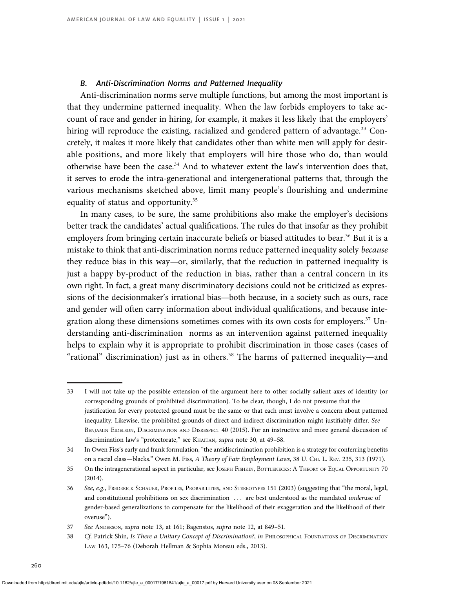# B. Anti-Discrimination Norms and Patterned Inequality

Anti-discrimination norms serve multiple functions, but among the most important is that they undermine patterned inequality. When the law forbids employers to take account of race and gender in hiring, for example, it makes it less likely that the employers' hiring will reproduce the existing, racialized and gendered pattern of advantage.<sup>33</sup> Concretely, it makes it more likely that candidates other than white men will apply for desirable positions, and more likely that employers will hire those who do, than would otherwise have been the case. $34$  And to whatever extent the law's intervention does that, it serves to erode the intra-generational and intergenerational patterns that, through the various mechanisms sketched above, limit many people's flourishing and undermine equality of status and opportunity.<sup>35</sup>

In many cases, to be sure, the same prohibitions also make the employer's decisions better track the candidates' actual qualifications. The rules do that insofar as they prohibit employers from bringing certain inaccurate beliefs or biased attitudes to bear.<sup>36</sup> But it is a mistake to think that anti-discrimination norms reduce patterned inequality solely because they reduce bias in this way—or, similarly, that the reduction in patterned inequality is just a happy by-product of the reduction in bias, rather than a central concern in its own right. In fact, a great many discriminatory decisions could not be criticized as expressions of the decisionmaker's irrational bias—both because, in a society such as ours, race and gender will often carry information about individual qualifications, and because integration along these dimensions sometimes comes with its own costs for employers. $37$  Understanding anti-discrimination norms as an intervention against patterned inequality helps to explain why it is appropriate to prohibit discrimination in those cases (cases of "rational" discrimination) just as in others.<sup>38</sup> The harms of patterned inequality—and

<sup>33</sup> I will not take up the possible extension of the argument here to other socially salient axes of identity (or corresponding grounds of prohibited discrimination). To be clear, though, I do not presume that the justification for every protected ground must be the same or that each must involve a concern about patterned inequality. Likewise, the prohibited grounds of direct and indirect discrimination might justifiably differ. See BENJAMIN EIDELSON, DISCRIMINATION AND DISRESPECT 40 (2015). For an instructive and more general discussion of discrimination law's "protectorate," see KHAITAN, supra note 30, at 49-58.

<sup>34</sup> In Owen Fiss's early and frank formulation, "the antidiscrimination prohibition is a strategy for conferring benefits on a racial class—blacks." Owen M. Fiss, A Theory of Fair Employment Laws, 38 U. CHI. L. REV. 235, 313 (1971).

<sup>35</sup> On the intragenerational aspect in particular, see JOSEPH FISHKIN, BOTTLENECKS: A THEORY OF EQUAL OPPORTUNITY 70 (2014).

<sup>36</sup> See, e.g., FREDERICK SCHAUER, PROFILES, PROBABILITIES, AND STEREOTYPES 151 (2003) (suggesting that "the moral, legal, and constitutional prohibitions on sex discrimination ... are best understood as the mandated underuse of gender-based generalizations to compensate for the likelihood of their exaggeration and the likelihood of their overuse").

<sup>37</sup> See ANDERSON, supra note 13, at 161; Bagenstos, supra note 12, at 849-51.

<sup>38</sup> Cf. Patrick Shin, Is There a Unitary Concept of Discrimination?, in PHILOSOPHICAL FOUNDATIONS OF DISCRIMINATION LAW 163, 175–76 (Deborah Hellman & Sophia Moreau eds., 2013).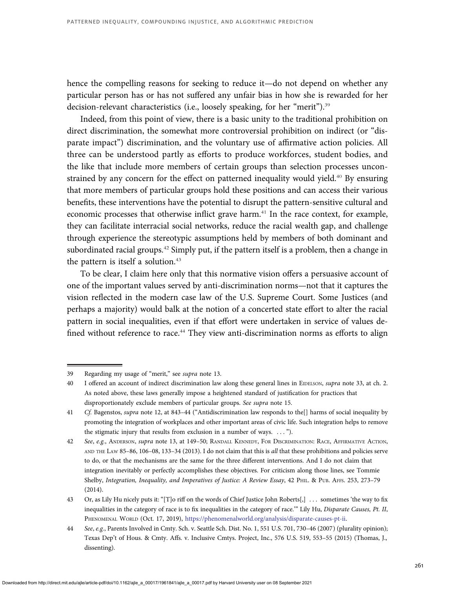hence the compelling reasons for seeking to reduce it—do not depend on whether any particular person has or has not suffered any unfair bias in how she is rewarded for her decision-relevant characteristics (i.e., loosely speaking, for her "merit").<sup>39</sup>

Indeed, from this point of view, there is a basic unity to the traditional prohibition on direct discrimination, the somewhat more controversial prohibition on indirect (or "disparate impact") discrimination, and the voluntary use of affirmative action policies. All three can be understood partly as efforts to produce workforces, student bodies, and the like that include more members of certain groups than selection processes unconstrained by any concern for the effect on patterned inequality would yield.<sup>40</sup> By ensuring that more members of particular groups hold these positions and can access their various benefits, these interventions have the potential to disrupt the pattern-sensitive cultural and economic processes that otherwise inflict grave harm.<sup>41</sup> In the race context, for example, they can facilitate interracial social networks, reduce the racial wealth gap, and challenge through experience the stereotypic assumptions held by members of both dominant and subordinated racial groups.<sup>42</sup> Simply put, if the pattern itself is a problem, then a change in the pattern is itself a solution.<sup>43</sup>

To be clear, I claim here only that this normative vision offers a persuasive account of one of the important values served by anti-discrimination norms—not that it captures the vision reflected in the modern case law of the U.S. Supreme Court. Some Justices (and perhaps a majority) would balk at the notion of a concerted state effort to alter the racial pattern in social inequalities, even if that effort were undertaken in service of values defined without reference to race.<sup>44</sup> They view anti-discrimination norms as efforts to align

<sup>39</sup> Regarding my usage of "merit," see supra note 13.

<sup>40</sup> I offered an account of indirect discrimination law along these general lines in EIDELSON, supra note 33, at ch. 2. As noted above, these laws generally impose a heightened standard of justification for practices that disproportionately exclude members of particular groups. See supra note 15.

<sup>41</sup> Cf. Bagenstos, supra note 12, at 843–44 ("Antidiscrimination law responds to the[] harms of social inequality by promoting the integration of workplaces and other important areas of civic life. Such integration helps to remove the stigmatic injury that results from exclusion in a number of ways. . . . ").

<sup>42</sup> See, e.g., ANDERSON, supra note 13, at 149-50; RANDALL KENNEDY, FOR DISCRIMINATION: RACE, AFFIRMATIVE ACTION, AND THE LAW 85-86, 106-08, 133-34 (2013). I do not claim that this is all that these prohibitions and policies serve to do, or that the mechanisms are the same for the three different interventions. And I do not claim that integration inevitably or perfectly accomplishes these objectives. For criticism along those lines, see Tommie Shelby, Integration, Inequality, and Imperatives of Justice: A Review Essay, 42 PHIL. & PUB. AFFS. 253, 273-79 (2014).

<sup>43</sup> Or, as Lily Hu nicely puts it: "[T]o riff on the words of Chief Justice John Roberts[,] . . . sometimes 'the way to fix inequalities in the category of race is to fix inequalities in the category of race.'" Lily Hu, Disparate Causes, Pt. II, PHENOMENAL WORLD (Oct. 17, 2019), <https://phenomenalworld.org/analysis/disparate-causes-pt-ii>.

<sup>44</sup> See, e.g., Parents Involved in Cmty. Sch. v. Seattle Sch. Dist. No. 1, 551 U.S. 701, 730–46 (2007) (plurality opinion); Texas Dep't of Hous. & Cmty. Affs. v. Inclusive Cmtys. Project, Inc., 576 U.S. 519, 553–55 (2015) (Thomas, J., dissenting).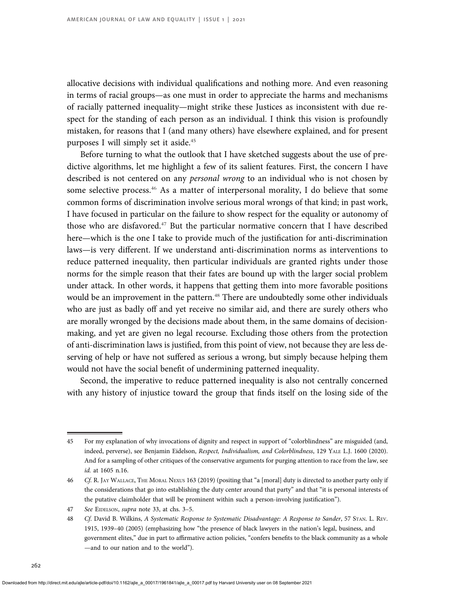allocative decisions with individual qualifications and nothing more. And even reasoning in terms of racial groups—as one must in order to appreciate the harms and mechanisms of racially patterned inequality—might strike these Justices as inconsistent with due respect for the standing of each person as an individual. I think this vision is profoundly mistaken, for reasons that I (and many others) have elsewhere explained, and for present purposes I will simply set it aside.<sup>45</sup>

Before turning to what the outlook that I have sketched suggests about the use of predictive algorithms, let me highlight a few of its salient features. First, the concern I have described is not centered on any personal wrong to an individual who is not chosen by some selective process.<sup>46</sup> As a matter of interpersonal morality, I do believe that some common forms of discrimination involve serious moral wrongs of that kind; in past work, I have focused in particular on the failure to show respect for the equality or autonomy of those who are disfavored.<sup>47</sup> But the particular normative concern that I have described here—which is the one I take to provide much of the justification for anti-discrimination laws—is very different. If we understand anti-discrimination norms as interventions to reduce patterned inequality, then particular individuals are granted rights under those norms for the simple reason that their fates are bound up with the larger social problem under attack. In other words, it happens that getting them into more favorable positions would be an improvement in the pattern.<sup>48</sup> There are undoubtedly some other individuals who are just as badly off and yet receive no similar aid, and there are surely others who are morally wronged by the decisions made about them, in the same domains of decisionmaking, and yet are given no legal recourse. Excluding those others from the protection of anti-discrimination laws is justified, from this point of view, not because they are less deserving of help or have not suffered as serious a wrong, but simply because helping them would not have the social benefit of undermining patterned inequality.

Second, the imperative to reduce patterned inequality is also not centrally concerned with any history of injustice toward the group that finds itself on the losing side of the

<sup>45</sup> For my explanation of why invocations of dignity and respect in support of "colorblindness" are misguided (and, indeed, perverse), see Benjamin Eidelson, Respect, Individualism, and Colorblindness, 129 YALE L.J. 1600 (2020). And for a sampling of other critiques of the conservative arguments for purging attention to race from the law, see id. at 1605 n.16.

<sup>46</sup> Cf. R. JAY WALLACE, THE MORAL NEXUS 163 (2019) (positing that "a [moral] duty is directed to another party only if the considerations that go into establishing the duty center around that party" and that "it is personal interests of the putative claimholder that will be prominent within such a person-involving justification").

<sup>47</sup> See EIDELSON, supra note 33, at chs. 3–5.

<sup>48</sup> Cf. David B. Wilkins, A Systematic Response to Systematic Disadvantage: A Response to Sander, 57 STAN. L. REV. 1915, 1939–40 (2005) (emphasizing how "the presence of black lawyers in the nation's legal, business, and government elites," due in part to affirmative action policies, "confers benefits to the black community as a whole —and to our nation and to the world").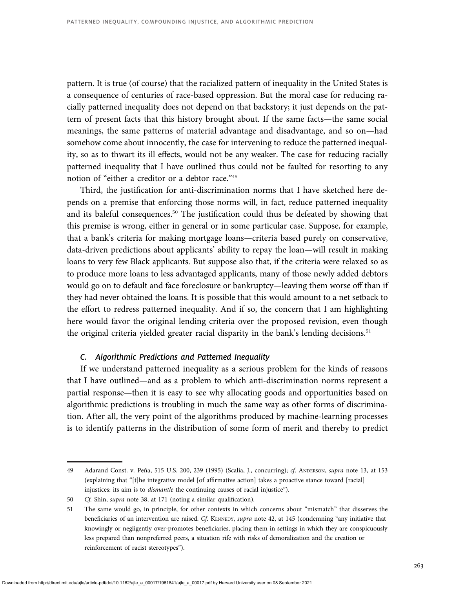pattern. It is true (of course) that the racialized pattern of inequality in the United States is a consequence of centuries of race-based oppression. But the moral case for reducing racially patterned inequality does not depend on that backstory; it just depends on the pattern of present facts that this history brought about. If the same facts—the same social meanings, the same patterns of material advantage and disadvantage, and so on—had somehow come about innocently, the case for intervening to reduce the patterned inequality, so as to thwart its ill effects, would not be any weaker. The case for reducing racially patterned inequality that I have outlined thus could not be faulted for resorting to any notion of "either a creditor or a debtor race."<sup>49</sup>

Third, the justification for anti-discrimination norms that I have sketched here depends on a premise that enforcing those norms will, in fact, reduce patterned inequality and its baleful consequences.<sup>50</sup> The justification could thus be defeated by showing that this premise is wrong, either in general or in some particular case. Suppose, for example, that a bank's criteria for making mortgage loans—criteria based purely on conservative, data-driven predictions about applicants' ability to repay the loan—will result in making loans to very few Black applicants. But suppose also that, if the criteria were relaxed so as to produce more loans to less advantaged applicants, many of those newly added debtors would go on to default and face foreclosure or bankruptcy—leaving them worse off than if they had never obtained the loans. It is possible that this would amount to a net setback to the effort to redress patterned inequality. And if so, the concern that I am highlighting here would favor the original lending criteria over the proposed revision, even though the original criteria yielded greater racial disparity in the bank's lending decisions.<sup>51</sup>

# C. Algorithmic Predictions and Patterned Inequality

If we understand patterned inequality as a serious problem for the kinds of reasons that I have outlined—and as a problem to which anti-discrimination norms represent a partial response—then it is easy to see why allocating goods and opportunities based on algorithmic predictions is troubling in much the same way as other forms of discrimination. After all, the very point of the algorithms produced by machine-learning processes is to identify patterns in the distribution of some form of merit and thereby to predict

<sup>49</sup> Adarand Const. v. Peña, 515 U.S. 200, 239 (1995) (Scalia, J., concurring); cf. ANDERSON, supra note 13, at 153 (explaining that "[t]he integrative model [of affirmative action] takes a proactive stance toward [racial] injustices: its aim is to dismantle the continuing causes of racial injustice").

<sup>50</sup> Cf. Shin, supra note 38, at 171 (noting a similar qualification).

<sup>51</sup> The same would go, in principle, for other contexts in which concerns about "mismatch" that disserves the beneficiaries of an intervention are raised. Cf. KENNEDY, supra note 42, at 145 (condemning "any initiative that knowingly or negligently over-promotes beneficiaries, placing them in settings in which they are conspicuously less prepared than nonpreferred peers, a situation rife with risks of demoralization and the creation or reinforcement of racist stereotypes").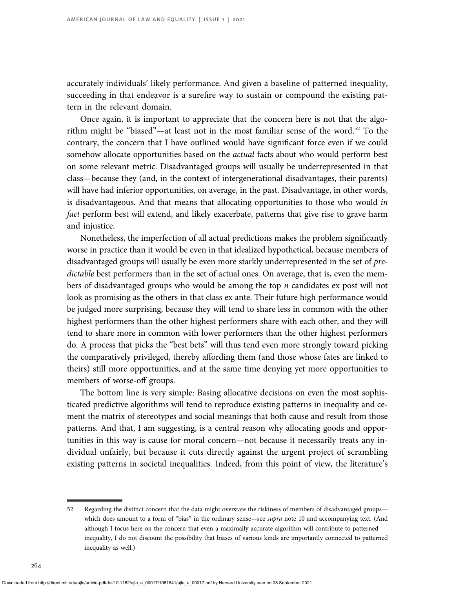accurately individuals' likely performance. And given a baseline of patterned inequality, succeeding in that endeavor is a surefire way to sustain or compound the existing pattern in the relevant domain.

Once again, it is important to appreciate that the concern here is not that the algorithm might be "biased"—at least not in the most familiar sense of the word.<sup>52</sup> To the contrary, the concern that I have outlined would have significant force even if we could somehow allocate opportunities based on the *actual* facts about who would perform best on some relevant metric. Disadvantaged groups will usually be underrepresented in that class—because they (and, in the context of intergenerational disadvantages, their parents) will have had inferior opportunities, on average, in the past. Disadvantage, in other words, is disadvantageous. And that means that allocating opportunities to those who would in fact perform best will extend, and likely exacerbate, patterns that give rise to grave harm and injustice.

Nonetheless, the imperfection of all actual predictions makes the problem significantly worse in practice than it would be even in that idealized hypothetical, because members of disadvantaged groups will usually be even more starkly underrepresented in the set of predictable best performers than in the set of actual ones. On average, that is, even the members of disadvantaged groups who would be among the top  $n$  candidates ex post will not look as promising as the others in that class ex ante. Their future high performance would be judged more surprising, because they will tend to share less in common with the other highest performers than the other highest performers share with each other, and they will tend to share more in common with lower performers than the other highest performers do. A process that picks the "best bets" will thus tend even more strongly toward picking the comparatively privileged, thereby affording them (and those whose fates are linked to theirs) still more opportunities, and at the same time denying yet more opportunities to members of worse-off groups.

The bottom line is very simple: Basing allocative decisions on even the most sophisticated predictive algorithms will tend to reproduce existing patterns in inequality and cement the matrix of stereotypes and social meanings that both cause and result from those patterns. And that, I am suggesting, is a central reason why allocating goods and opportunities in this way is cause for moral concern—not because it necessarily treats any individual unfairly, but because it cuts directly against the urgent project of scrambling existing patterns in societal inequalities. Indeed, from this point of view, the literature's

<sup>52</sup> Regarding the distinct concern that the data might overstate the riskiness of members of disadvantaged groups which does amount to a form of "bias" in the ordinary sense—see supra note 10 and accompanying text. (And although I focus here on the concern that even a maximally accurate algorithm will contribute to patterned inequality, I do not discount the possibility that biases of various kinds are importantly connected to patterned inequality as well.)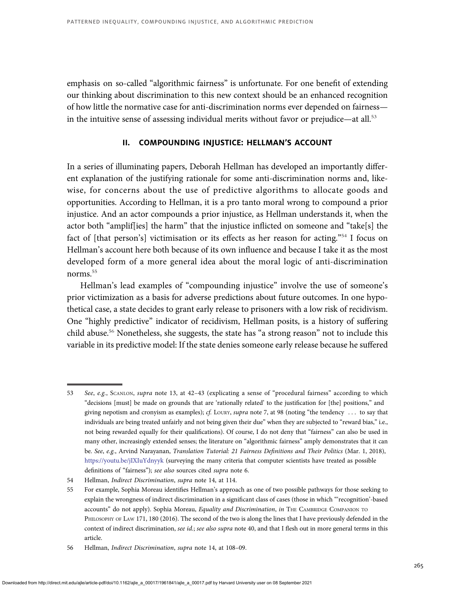emphasis on so-called "algorithmic fairness" is unfortunate. For one benefit of extending our thinking about discrimination to this new context should be an enhanced recognition of how little the normative case for anti-discrimination norms ever depended on fairness in the intuitive sense of assessing individual merits without favor or prejudice—at all.<sup>53</sup>

# II. COMPOUNDING INJUSTICE: HELLMAN'S ACCOUNT

In a series of illuminating papers, Deborah Hellman has developed an importantly different explanation of the justifying rationale for some anti-discrimination norms and, likewise, for concerns about the use of predictive algorithms to allocate goods and opportunities. According to Hellman, it is a pro tanto moral wrong to compound a prior injustice. And an actor compounds a prior injustice, as Hellman understands it, when the actor both "amplif[ies] the harm" that the injustice inflicted on someone and "take[s] the fact of [that person's] victimisation or its effects as her reason for acting."<sup>54</sup> I focus on Hellman's account here both because of its own influence and because I take it as the most developed form of a more general idea about the moral logic of anti-discrimination norms.<sup>55</sup>

Hellman's lead examples of "compounding injustice" involve the use of someone's prior victimization as a basis for adverse predictions about future outcomes. In one hypothetical case, a state decides to grant early release to prisoners with a low risk of recidivism. One "highly predictive" indicator of recidivism, Hellman posits, is a history of suffering child abuse.<sup>56</sup> Nonetheless, she suggests, the state has "a strong reason" not to include this variable in its predictive model: If the state denies someone early release because he suffered

<sup>53</sup> See, e.g., SCANLON, supra note 13, at 42–43 (explicating a sense of "procedural fairness" according to which "decisions [must] be made on grounds that are 'rationally related' to the justification for [the] positions," and giving nepotism and cronyism as examples); cf. LOURY, supra note 7, at 98 (noting "the tendency ... to say that individuals are being treated unfairly and not being given their due" when they are subjected to "reward bias," i.e., not being rewarded equally for their qualifications). Of course, I do not deny that "fairness" can also be used in many other, increasingly extended senses; the literature on "algorithmic fairness" amply demonstrates that it can be. See, e.g., Arvind Narayanan, Translation Tutorial: 21 Fairness Definitions and Their Politics (Mar. 1, 2018), <https://youtu.be/jIXIuYdnyyk> (surveying the many criteria that computer scientists have treated as possible definitions of "fairness"); see also sources cited supra note 6.

<sup>54</sup> Hellman, Indirect Discrimination, supra note 14, at 114.

<sup>55</sup> For example, Sophia Moreau identifies Hellman's approach as one of two possible pathways for those seeking to explain the wrongness of indirect discrimination in a significant class of cases (those in which "'recognition'-based accounts" do not apply). Sophia Moreau, Equality and Discrimination, in THE CAMBRIDGE COMPANION TO PHILOSOPHY OF LAW 171, 180 (2016). The second of the two is along the lines that I have previously defended in the context of indirect discrimination, see id.; see also supra note 40, and that I flesh out in more general terms in this article.

<sup>56</sup> Hellman, Indirect Discrimination, supra note 14, at 108–09.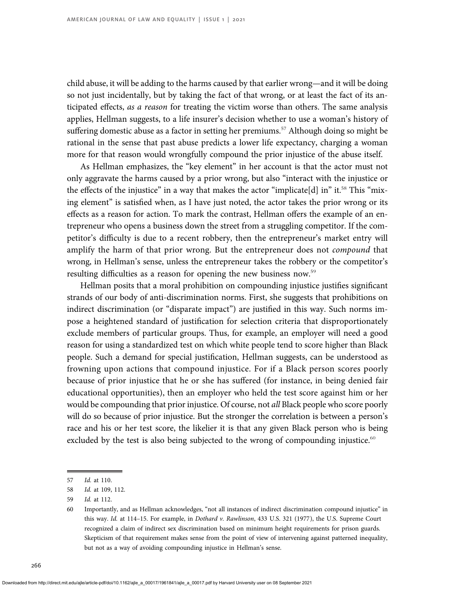child abuse, it will be adding to the harms caused by that earlier wrong—and it will be doing so not just incidentally, but by taking the fact of that wrong, or at least the fact of its anticipated effects, as a reason for treating the victim worse than others. The same analysis applies, Hellman suggests, to a life insurer's decision whether to use a woman's history of suffering domestic abuse as a factor in setting her premiums.<sup>57</sup> Although doing so might be rational in the sense that past abuse predicts a lower life expectancy, charging a woman more for that reason would wrongfully compound the prior injustice of the abuse itself.

As Hellman emphasizes, the "key element" in her account is that the actor must not only aggravate the harms caused by a prior wrong, but also "interact with the injustice or the effects of the injustice" in a way that makes the actor "implicate[d] in" it.<sup>58</sup> This "mixing element" is satisfied when, as I have just noted, the actor takes the prior wrong or its effects as a reason for action. To mark the contrast, Hellman offers the example of an entrepreneur who opens a business down the street from a struggling competitor. If the competitor's difficulty is due to a recent robbery, then the entrepreneur's market entry will amplify the harm of that prior wrong. But the entrepreneur does not *compound* that wrong, in Hellman's sense, unless the entrepreneur takes the robbery or the competitor's resulting difficulties as a reason for opening the new business now.<sup>59</sup>

Hellman posits that a moral prohibition on compounding injustice justifies significant strands of our body of anti-discrimination norms. First, she suggests that prohibitions on indirect discrimination (or "disparate impact") are justified in this way. Such norms impose a heightened standard of justification for selection criteria that disproportionately exclude members of particular groups. Thus, for example, an employer will need a good reason for using a standardized test on which white people tend to score higher than Black people. Such a demand for special justification, Hellman suggests, can be understood as frowning upon actions that compound injustice. For if a Black person scores poorly because of prior injustice that he or she has suffered (for instance, in being denied fair educational opportunities), then an employer who held the test score against him or her would be compounding that prior injustice. Of course, not all Black people who score poorly will do so because of prior injustice. But the stronger the correlation is between a person's race and his or her test score, the likelier it is that any given Black person who is being excluded by the test is also being subjected to the wrong of compounding injustice. $60$ 

<sup>57</sup> Id. at 110.

<sup>58</sup> Id. at 109, 112.

<sup>59</sup> Id. at 112.

<sup>60</sup> Importantly, and as Hellman acknowledges, "not all instances of indirect discrimination compound injustice" in this way. Id. at 114-15. For example, in *Dothard v. Rawlinson*, 433 U.S. 321 (1977), the U.S. Supreme Court recognized a claim of indirect sex discrimination based on minimum height requirements for prison guards. Skepticism of that requirement makes sense from the point of view of intervening against patterned inequality, but not as a way of avoiding compounding injustice in Hellman's sense.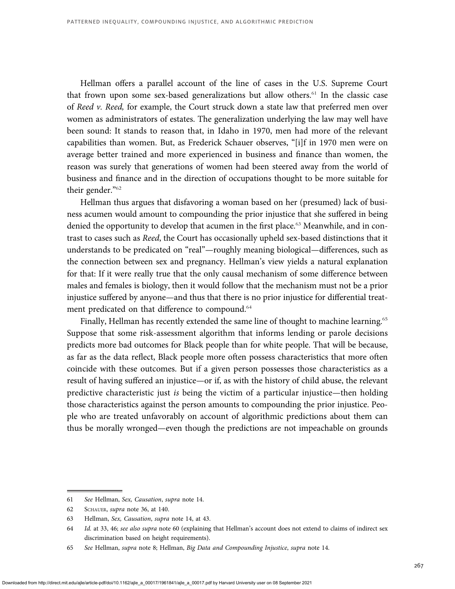Hellman offers a parallel account of the line of cases in the U.S. Supreme Court that frown upon some sex-based generalizations but allow others.<sup>61</sup> In the classic case of Reed v. Reed, for example, the Court struck down a state law that preferred men over women as administrators of estates. The generalization underlying the law may well have been sound: It stands to reason that, in Idaho in 1970, men had more of the relevant capabilities than women. But, as Frederick Schauer observes, "[i]f in 1970 men were on average better trained and more experienced in business and finance than women, the reason was surely that generations of women had been steered away from the world of business and finance and in the direction of occupations thought to be more suitable for their gender."<sup>62</sup>

Hellman thus argues that disfavoring a woman based on her (presumed) lack of business acumen would amount to compounding the prior injustice that she suffered in being denied the opportunity to develop that acumen in the first place.<sup>63</sup> Meanwhile, and in contrast to cases such as Reed, the Court has occasionally upheld sex-based distinctions that it understands to be predicated on "real"—roughly meaning biological—differences, such as the connection between sex and pregnancy. Hellman's view yields a natural explanation for that: If it were really true that the only causal mechanism of some difference between males and females is biology, then it would follow that the mechanism must not be a prior injustice suffered by anyone—and thus that there is no prior injustice for differential treatment predicated on that difference to compound.<sup>64</sup>

Finally, Hellman has recently extended the same line of thought to machine learning.<sup>65</sup> Suppose that some risk-assessment algorithm that informs lending or parole decisions predicts more bad outcomes for Black people than for white people. That will be because, as far as the data reflect, Black people more often possess characteristics that more often coincide with these outcomes. But if a given person possesses those characteristics as a result of having suffered an injustice—or if, as with the history of child abuse, the relevant predictive characteristic just is being the victim of a particular injustice—then holding those characteristics against the person amounts to compounding the prior injustice. People who are treated unfavorably on account of algorithmic predictions about them can thus be morally wronged—even though the predictions are not impeachable on grounds

<sup>61</sup> See Hellman, Sex, Causation, supra note 14.

<sup>62</sup> SCHAUER, supra note 36, at 140.

<sup>63</sup> Hellman, Sex, Causation, supra note 14, at 43.

<sup>64</sup> Id. at 33, 46; see also supra note 60 (explaining that Hellman's account does not extend to claims of indirect sex discrimination based on height requirements).

<sup>65</sup> See Hellman, supra note 8; Hellman, Big Data and Compounding Injustice, supra note 14.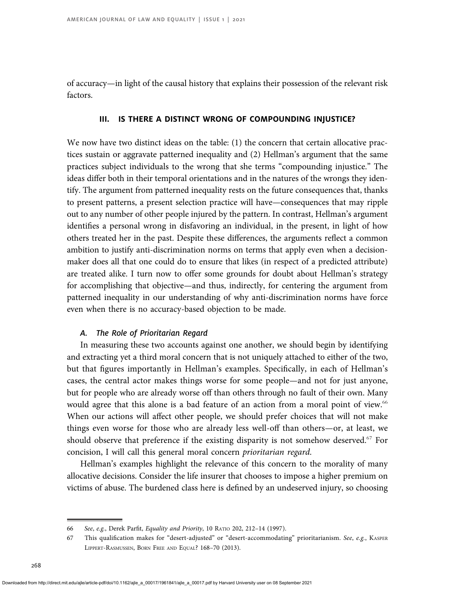of accuracy—in light of the causal history that explains their possession of the relevant risk factors.

#### III. IS THERE A DISTINCT WRONG OF COMPOUNDING INJUSTICE?

We now have two distinct ideas on the table: (1) the concern that certain allocative practices sustain or aggravate patterned inequality and (2) Hellman's argument that the same practices subject individuals to the wrong that she terms "compounding injustice." The ideas differ both in their temporal orientations and in the natures of the wrongs they identify. The argument from patterned inequality rests on the future consequences that, thanks to present patterns, a present selection practice will have—consequences that may ripple out to any number of other people injured by the pattern. In contrast, Hellman's argument identifies a personal wrong in disfavoring an individual, in the present, in light of how others treated her in the past. Despite these differences, the arguments reflect a common ambition to justify anti-discrimination norms on terms that apply even when a decisionmaker does all that one could do to ensure that likes (in respect of a predicted attribute) are treated alike. I turn now to offer some grounds for doubt about Hellman's strategy for accomplishing that objective—and thus, indirectly, for centering the argument from patterned inequality in our understanding of why anti-discrimination norms have force even when there is no accuracy-based objection to be made.

## A. The Role of Prioritarian Regard

In measuring these two accounts against one another, we should begin by identifying and extracting yet a third moral concern that is not uniquely attached to either of the two, but that figures importantly in Hellman's examples. Specifically, in each of Hellman's cases, the central actor makes things worse for some people—and not for just anyone, but for people who are already worse off than others through no fault of their own. Many would agree that this alone is a bad feature of an action from a moral point of view.<sup>66</sup> When our actions will affect other people, we should prefer choices that will not make things even worse for those who are already less well-off than others—or, at least, we should observe that preference if the existing disparity is not somehow deserved.<sup>67</sup> For concision, I will call this general moral concern prioritarian regard.

Hellman's examples highlight the relevance of this concern to the morality of many allocative decisions. Consider the life insurer that chooses to impose a higher premium on victims of abuse. The burdened class here is defined by an undeserved injury, so choosing

<sup>66</sup> See, e.g., Derek Parfit, Equality and Priority, 10 RATIO 202, 212–14 (1997).

<sup>67</sup> This qualification makes for "desert-adjusted" or "desert-accommodating" prioritarianism. See, e.g., KASPER LIPPERT-RASMUSSEN, BORN FREE AND EQUAL? 168–70 (2013).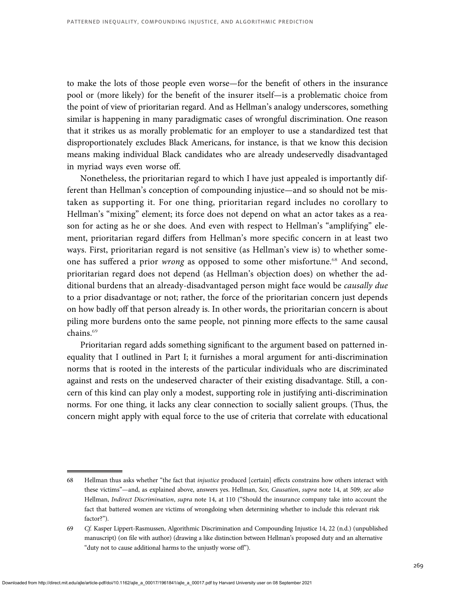to make the lots of those people even worse—for the benefit of others in the insurance pool or (more likely) for the benefit of the insurer itself—is a problematic choice from the point of view of prioritarian regard. And as Hellman's analogy underscores, something similar is happening in many paradigmatic cases of wrongful discrimination. One reason that it strikes us as morally problematic for an employer to use a standardized test that disproportionately excludes Black Americans, for instance, is that we know this decision means making individual Black candidates who are already undeservedly disadvantaged in myriad ways even worse off.

Nonetheless, the prioritarian regard to which I have just appealed is importantly different than Hellman's conception of compounding injustice—and so should not be mistaken as supporting it. For one thing, prioritarian regard includes no corollary to Hellman's "mixing" element; its force does not depend on what an actor takes as a reason for acting as he or she does. And even with respect to Hellman's "amplifying" element, prioritarian regard differs from Hellman's more specific concern in at least two ways. First, prioritarian regard is not sensitive (as Hellman's view is) to whether someone has suffered a prior wrong as opposed to some other misfortune.<sup>68</sup> And second, prioritarian regard does not depend (as Hellman's objection does) on whether the additional burdens that an already-disadvantaged person might face would be causally due to a prior disadvantage or not; rather, the force of the prioritarian concern just depends on how badly off that person already is. In other words, the prioritarian concern is about piling more burdens onto the same people, not pinning more effects to the same causal chains.<sup>69</sup>

Prioritarian regard adds something significant to the argument based on patterned inequality that I outlined in Part I; it furnishes a moral argument for anti-discrimination norms that is rooted in the interests of the particular individuals who are discriminated against and rests on the undeserved character of their existing disadvantage. Still, a concern of this kind can play only a modest, supporting role in justifying anti-discrimination norms. For one thing, it lacks any clear connection to socially salient groups. (Thus, the concern might apply with equal force to the use of criteria that correlate with educational

<sup>68</sup> Hellman thus asks whether "the fact that *injustice* produced [certain] effects constrains how others interact with these victims"—and, as explained above, answers yes. Hellman, Sex, Causation, supra note 14, at 509; see also Hellman, Indirect Discrimination, supra note 14, at 110 ("Should the insurance company take into account the fact that battered women are victims of wrongdoing when determining whether to include this relevant risk factor?").

<sup>69</sup> Cf. Kasper Lippert-Rasmussen, Algorithmic Discrimination and Compounding Injustice 14, 22 (n.d.) (unpublished manuscript) (on file with author) (drawing a like distinction between Hellman's proposed duty and an alternative "duty not to cause additional harms to the unjustly worse off").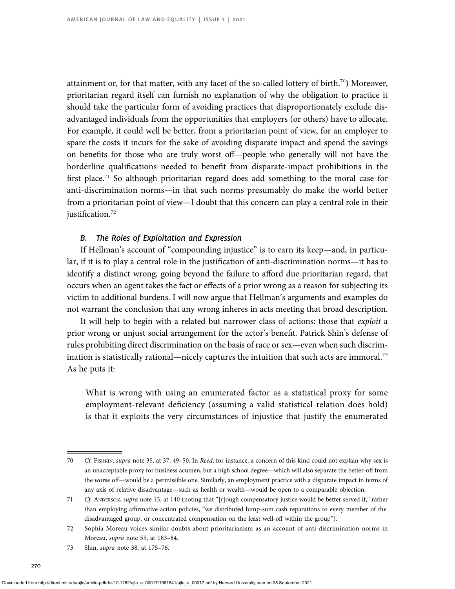attainment or, for that matter, with any facet of the so-called lottery of birth.<sup>70</sup>) Moreover, prioritarian regard itself can furnish no explanation of why the obligation to practice it should take the particular form of avoiding practices that disproportionately exclude disadvantaged individuals from the opportunities that employers (or others) have to allocate. For example, it could well be better, from a prioritarian point of view, for an employer to spare the costs it incurs for the sake of avoiding disparate impact and spend the savings on benefits for those who are truly worst off—people who generally will not have the borderline qualifications needed to benefit from disparate-impact prohibitions in the first place.<sup>71</sup> So although prioritarian regard does add something to the moral case for anti-discrimination norms—in that such norms presumably do make the world better from a prioritarian point of view—I doubt that this concern can play a central role in their justification.<sup>72</sup>

# B. The Roles of Exploitation and Expression

If Hellman's account of "compounding injustice" is to earn its keep—and, in particular, if it is to play a central role in the justification of anti-discrimination norms—it has to identify a distinct wrong, going beyond the failure to afford due prioritarian regard, that occurs when an agent takes the fact or effects of a prior wrong as a reason for subjecting its victim to additional burdens. I will now argue that Hellman's arguments and examples do not warrant the conclusion that any wrong inheres in acts meeting that broad description.

It will help to begin with a related but narrower class of actions: those that exploit a prior wrong or unjust social arrangement for the actor's benefit. Patrick Shin's defense of rules prohibiting direct discrimination on the basis of race or sex—even when such discrimination is statistically rational—nicely captures the intuition that such acts are immoral.<sup>73</sup> As he puts it:

What is wrong with using an enumerated factor as a statistical proxy for some employment-relevant deficiency (assuming a valid statistical relation does hold) is that it exploits the very circumstances of injustice that justify the enumerated

<sup>70</sup> Cf. FISHKIN, supra note 35, at 37, 49–50. In Reed, for instance, a concern of this kind could not explain why sex is an unacceptable proxy for business acumen, but a high school degree—which will also separate the better-off from the worse off—would be a permissible one. Similarly, an employment practice with a disparate impact in terms of any axis of relative disadvantage—such as health or wealth—would be open to a comparable objection.

<sup>71</sup> Cf. ANDERSON, supra note 13, at 140 (noting that "[r]ough compensatory justice would be better served if," rather than employing affirmative action policies, "we distributed lump-sum cash reparations to every member of the disadvantaged group, or concentrated compensation on the least well-off within the group").

<sup>72</sup> Sophia Moreau voices similar doubts about prioritarianism as an account of anti-discrimination norms in Moreau, supra note 55, at 183–84.

<sup>73</sup> Shin, supra note 38, at 175–76.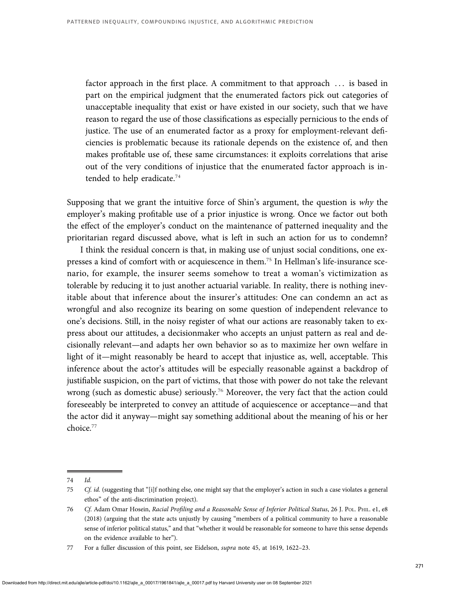factor approach in the first place. A commitment to that approach . . . is based in part on the empirical judgment that the enumerated factors pick out categories of unacceptable inequality that exist or have existed in our society, such that we have reason to regard the use of those classifications as especially pernicious to the ends of justice. The use of an enumerated factor as a proxy for employment-relevant deficiencies is problematic because its rationale depends on the existence of, and then makes profitable use of, these same circumstances: it exploits correlations that arise out of the very conditions of injustice that the enumerated factor approach is intended to help eradicate.<sup>74</sup>

Supposing that we grant the intuitive force of Shin's argument, the question is  $why$  the employer's making profitable use of a prior injustice is wrong. Once we factor out both the effect of the employer's conduct on the maintenance of patterned inequality and the prioritarian regard discussed above, what is left in such an action for us to condemn?

I think the residual concern is that, in making use of unjust social conditions, one expresses a kind of comfort with or acquiescence in them.<sup>75</sup> In Hellman's life-insurance scenario, for example, the insurer seems somehow to treat a woman's victimization as tolerable by reducing it to just another actuarial variable. In reality, there is nothing inevitable about that inference about the insurer's attitudes: One can condemn an act as wrongful and also recognize its bearing on some question of independent relevance to one's decisions. Still, in the noisy register of what our actions are reasonably taken to express about our attitudes, a decisionmaker who accepts an unjust pattern as real and decisionally relevant—and adapts her own behavior so as to maximize her own welfare in light of it—might reasonably be heard to accept that injustice as, well, acceptable. This inference about the actor's attitudes will be especially reasonable against a backdrop of justifiable suspicion, on the part of victims, that those with power do not take the relevant wrong (such as domestic abuse) seriously.<sup>76</sup> Moreover, the very fact that the action could foreseeably be interpreted to convey an attitude of acquiescence or acceptance—and that the actor did it anyway—might say something additional about the meaning of his or her choice.<sup>77</sup>

<sup>74</sup> Id.

<sup>75</sup> Cf. id. (suggesting that "[i]f nothing else, one might say that the employer's action in such a case violates a general ethos" of the anti-discrimination project).

<sup>76</sup> Cf. Adam Omar Hosein, Racial Profiling and a Reasonable Sense of Inferior Political Status, 26 J. PoL. PHIL. e1, e8 (2018) (arguing that the state acts unjustly by causing "members of a political community to have a reasonable sense of inferior political status," and that "whether it would be reasonable for someone to have this sense depends on the evidence available to her").

<sup>77</sup> For a fuller discussion of this point, see Eidelson, supra note 45, at 1619, 1622-23.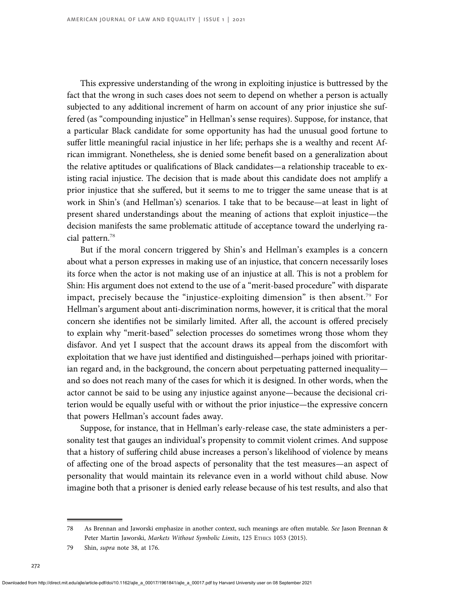This expressive understanding of the wrong in exploiting injustice is buttressed by the fact that the wrong in such cases does not seem to depend on whether a person is actually subjected to any additional increment of harm on account of any prior injustice she suffered (as "compounding injustice" in Hellman's sense requires). Suppose, for instance, that a particular Black candidate for some opportunity has had the unusual good fortune to suffer little meaningful racial injustice in her life; perhaps she is a wealthy and recent African immigrant. Nonetheless, she is denied some benefit based on a generalization about the relative aptitudes or qualifications of Black candidates—a relationship traceable to existing racial injustice. The decision that is made about this candidate does not amplify a prior injustice that she suffered, but it seems to me to trigger the same unease that is at work in Shin's (and Hellman's) scenarios. I take that to be because—at least in light of present shared understandings about the meaning of actions that exploit injustice—the decision manifests the same problematic attitude of acceptance toward the underlying racial pattern.<sup>78</sup>

But if the moral concern triggered by Shin's and Hellman's examples is a concern about what a person expresses in making use of an injustice, that concern necessarily loses its force when the actor is not making use of an injustice at all. This is not a problem for Shin: His argument does not extend to the use of a "merit-based procedure" with disparate impact, precisely because the "injustice-exploiting dimension" is then absent.<sup>79</sup> For Hellman's argument about anti-discrimination norms, however, it is critical that the moral concern she identifies not be similarly limited. After all, the account is offered precisely to explain why "merit-based" selection processes do sometimes wrong those whom they disfavor. And yet I suspect that the account draws its appeal from the discomfort with exploitation that we have just identified and distinguished—perhaps joined with prioritarian regard and, in the background, the concern about perpetuating patterned inequality and so does not reach many of the cases for which it is designed. In other words, when the actor cannot be said to be using any injustice against anyone—because the decisional criterion would be equally useful with or without the prior injustice—the expressive concern that powers Hellman's account fades away.

Suppose, for instance, that in Hellman's early-release case, the state administers a personality test that gauges an individual's propensity to commit violent crimes. And suppose that a history of suffering child abuse increases a person's likelihood of violence by means of affecting one of the broad aspects of personality that the test measures—an aspect of personality that would maintain its relevance even in a world without child abuse. Now imagine both that a prisoner is denied early release because of his test results, and also that

<sup>78</sup> As Brennan and Jaworski emphasize in another context, such meanings are often mutable. See Jason Brennan & Peter Martin Jaworski, Markets Without Symbolic Limits, 125 ETHICS 1053 (2015).

<sup>79</sup> Shin, supra note 38, at 176.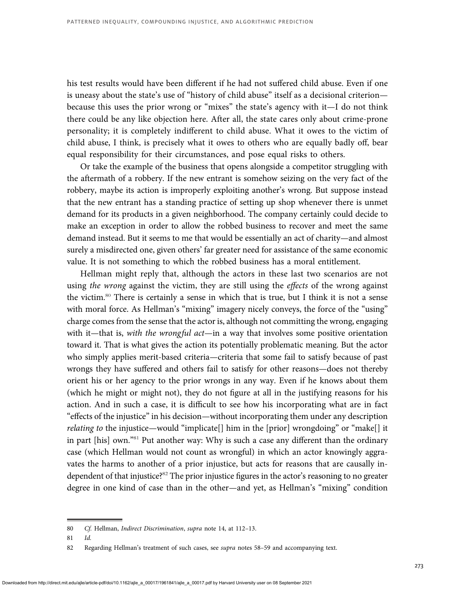his test results would have been different if he had not suffered child abuse. Even if one is uneasy about the state's use of "history of child abuse" itself as a decisional criterion because this uses the prior wrong or "mixes" the state's agency with it—I do not think there could be any like objection here. After all, the state cares only about crime-prone personality; it is completely indifferent to child abuse. What it owes to the victim of child abuse, I think, is precisely what it owes to others who are equally badly off, bear equal responsibility for their circumstances, and pose equal risks to others.

Or take the example of the business that opens alongside a competitor struggling with the aftermath of a robbery. If the new entrant is somehow seizing on the very fact of the robbery, maybe its action is improperly exploiting another's wrong. But suppose instead that the new entrant has a standing practice of setting up shop whenever there is unmet demand for its products in a given neighborhood. The company certainly could decide to make an exception in order to allow the robbed business to recover and meet the same demand instead. But it seems to me that would be essentially an act of charity—and almost surely a misdirected one, given others' far greater need for assistance of the same economic value. It is not something to which the robbed business has a moral entitlement.

Hellman might reply that, although the actors in these last two scenarios are not using the wrong against the victim, they are still using the effects of the wrong against the victim.<sup>80</sup> There is certainly a sense in which that is true, but I think it is not a sense with moral force. As Hellman's "mixing" imagery nicely conveys, the force of the "using" charge comes from the sense that the actor is, although not committing the wrong, engaging with it—that is, with the wrongful act—in a way that involves some positive orientation toward it. That is what gives the action its potentially problematic meaning. But the actor who simply applies merit-based criteria—criteria that some fail to satisfy because of past wrongs they have suffered and others fail to satisfy for other reasons—does not thereby orient his or her agency to the prior wrongs in any way. Even if he knows about them (which he might or might not), they do not figure at all in the justifying reasons for his action. And in such a case, it is difficult to see how his incorporating what are in fact "effects of the injustice" in his decision—without incorporating them under any description relating to the injustice—would "implicate[] him in the [prior] wrongdoing" or "make[] it in part [his] own."<sup>81</sup> Put another way: Why is such a case any different than the ordinary case (which Hellman would not count as wrongful) in which an actor knowingly aggravates the harms to another of a prior injustice, but acts for reasons that are causally independent of that injustice?<sup>82</sup> The prior injustice figures in the actor's reasoning to no greater degree in one kind of case than in the other—and yet, as Hellman's "mixing" condition

<sup>80</sup> Cf. Hellman, Indirect Discrimination, supra note 14, at 112–13.

<sup>81</sup> Id.

<sup>82</sup> Regarding Hellman's treatment of such cases, see supra notes 58-59 and accompanying text.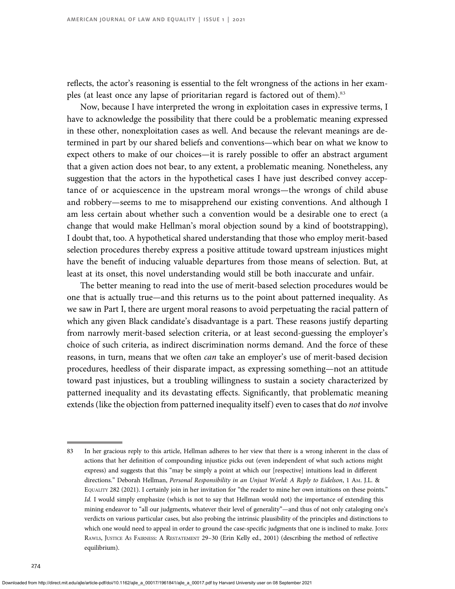reflects, the actor's reasoning is essential to the felt wrongness of the actions in her examples (at least once any lapse of prioritarian regard is factored out of them).<sup>83</sup>

Now, because I have interpreted the wrong in exploitation cases in expressive terms, I have to acknowledge the possibility that there could be a problematic meaning expressed in these other, nonexploitation cases as well. And because the relevant meanings are determined in part by our shared beliefs and conventions—which bear on what we know to expect others to make of our choices—it is rarely possible to offer an abstract argument that a given action does not bear, to any extent, a problematic meaning. Nonetheless, any suggestion that the actors in the hypothetical cases I have just described convey acceptance of or acquiescence in the upstream moral wrongs—the wrongs of child abuse and robbery—seems to me to misapprehend our existing conventions. And although I am less certain about whether such a convention would be a desirable one to erect (a change that would make Hellman's moral objection sound by a kind of bootstrapping), I doubt that, too. A hypothetical shared understanding that those who employ merit-based selection procedures thereby express a positive attitude toward upstream injustices might have the benefit of inducing valuable departures from those means of selection. But, at least at its onset, this novel understanding would still be both inaccurate and unfair.

The better meaning to read into the use of merit-based selection procedures would be one that is actually true—and this returns us to the point about patterned inequality. As we saw in Part I, there are urgent moral reasons to avoid perpetuating the racial pattern of which any given Black candidate's disadvantage is a part. These reasons justify departing from narrowly merit-based selection criteria, or at least second-guessing the employer's choice of such criteria, as indirect discrimination norms demand. And the force of these reasons, in turn, means that we often can take an employer's use of merit-based decision procedures, heedless of their disparate impact, as expressing something—not an attitude toward past injustices, but a troubling willingness to sustain a society characterized by patterned inequality and its devastating effects. Significantly, that problematic meaning extends (like the objection from patterned inequality itself) even to cases that do not involve

Downloaded from http://direct.mit.edu/ajle/article-pdf/doi/10.1162/ajle\_a\_00017/1961841/ajle\_a\_00017.pdf by Harvard University user on 08 September 2021

<sup>83</sup> In her gracious reply to this article, Hellman adheres to her view that there is a wrong inherent in the class of actions that her definition of compounding injustice picks out (even independent of what such actions might express) and suggests that this "may be simply a point at which our [respective] intuitions lead in different directions." Deborah Hellman, Personal Responsibility in an Unjust World: A Reply to Eidelson, 1 AM. J.L. & EQUALITY 282 (2021). I certainly join in her invitation for "the reader to mine her own intuitions on these points." Id. I would simply emphasize (which is not to say that Hellman would not) the importance of extending this mining endeavor to "all our judgments, whatever their level of generality"—and thus of not only cataloging one's verdicts on various particular cases, but also probing the intrinsic plausibility of the principles and distinctions to which one would need to appeal in order to ground the case-specific judgments that one is inclined to make. JOHN RAWLS, JUSTICE AS FAIRNESS: A RESTATEMENT 29-30 (Erin Kelly ed., 2001) (describing the method of reflective equilibrium).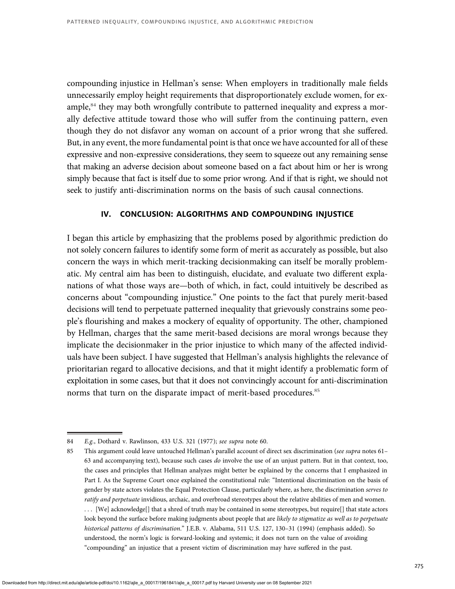compounding injustice in Hellman's sense: When employers in traditionally male fields unnecessarily employ height requirements that disproportionately exclude women, for example,<sup>84</sup> they may both wrongfully contribute to patterned inequality and express a morally defective attitude toward those who will suffer from the continuing pattern, even though they do not disfavor any woman on account of a prior wrong that she suffered. But, in any event, the more fundamental point is that once we have accounted for all of these expressive and non-expressive considerations, they seem to squeeze out any remaining sense that making an adverse decision about someone based on a fact about him or her is wrong simply because that fact is itself due to some prior wrong. And if that is right, we should not seek to justify anti-discrimination norms on the basis of such causal connections.

## IV. CONCLUSION: ALGORITHMS AND COMPOUNDING INJUSTICE

I began this article by emphasizing that the problems posed by algorithmic prediction do not solely concern failures to identify some form of merit as accurately as possible, but also concern the ways in which merit-tracking decisionmaking can itself be morally problematic. My central aim has been to distinguish, elucidate, and evaluate two different explanations of what those ways are—both of which, in fact, could intuitively be described as concerns about "compounding injustice." One points to the fact that purely merit-based decisions will tend to perpetuate patterned inequality that grievously constrains some people's flourishing and makes a mockery of equality of opportunity. The other, championed by Hellman, charges that the same merit-based decisions are moral wrongs because they implicate the decisionmaker in the prior injustice to which many of the affected individuals have been subject. I have suggested that Hellman's analysis highlights the relevance of prioritarian regard to allocative decisions, and that it might identify a problematic form of exploitation in some cases, but that it does not convincingly account for anti-discrimination norms that turn on the disparate impact of merit-based procedures.<sup>85</sup>

<sup>84</sup> E.g., Dothard v. Rawlinson, 433 U.S. 321 (1977); see supra note 60.

<sup>85</sup> This argument could leave untouched Hellman's parallel account of direct sex discrimination (see supra notes 61-63 and accompanying text), because such cases do involve the use of an unjust pattern. But in that context, too, the cases and principles that Hellman analyzes might better be explained by the concerns that I emphasized in Part I. As the Supreme Court once explained the constitutional rule: "Intentional discrimination on the basis of gender by state actors violates the Equal Protection Clause, particularly where, as here, the discrimination serves to ratify and perpetuate invidious, archaic, and overbroad stereotypes about the relative abilities of men and women. . . . [We] acknowledge[] that a shred of truth may be contained in some stereotypes, but require[] that state actors look beyond the surface before making judgments about people that are likely to stigmatize as well as to perpetuate historical patterns of discrimination." J.E.B. v. Alabama, 511 U.S. 127, 130-31 (1994) (emphasis added). So understood, the norm's logic is forward-looking and systemic; it does not turn on the value of avoiding "compounding" an injustice that a present victim of discrimination may have suffered in the past.